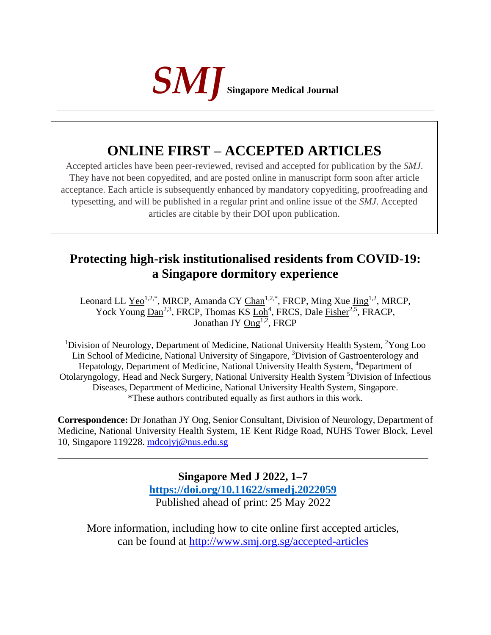

## **ONLINE FIRST – ACCEPTED ARTICLES**

Accepted articles have been peer-reviewed, revised and accepted for publication by the *SMJ*. They have not been copyedited, and are posted online in manuscript form soon after article acceptance. Each article is subsequently enhanced by mandatory copyediting, proofreading and typesetting, and will be published in a regular print and online issue of the *SMJ*. Accepted articles are citable by their DOI upon publication.

## **Protecting high-risk institutionalised residents from COVID-19: a Singapore dormitory experience**

Leonard LL  $Yeo<sup>1,2,*</sup>$ , MRCP, Amanda CY  $Chan<sup>1,2,*</sup>$ , FRCP, Ming Xue  $Jing<sup>1,2</sup>$ , MRCP,</u></u></u> Yock Young  $\underline{\text{Dan}}^{2,3}$ , FRCP, Thomas KS  $\underline{\text{Loh}}^4$ , FRCS, Dale  $\underline{\text{Fisher}}^{2,5}$ , FRACP, Jonathan JY  $Ong^{1,2}$ , FRCP

<sup>1</sup>Division of Neurology, Department of Medicine, National University Health System. <sup>2</sup>Yong Loo Lin School of Medicine, National University of Singapore, <sup>3</sup>Division of Gastroenterology and Hepatology, Department of Medicine, National University Health System, <sup>4</sup>Department of Otolaryngology, Head and Neck Surgery, National University Health System <sup>5</sup>Division of Infectious Diseases, Department of Medicine, National University Health System, Singapore. \*These authors contributed equally as first authors in this work.

**Correspondence:** Dr Jonathan JY Ong, Senior Consultant, Division of Neurology, Department of Medicine, National University Health System, 1E Kent Ridge Road, NUHS Tower Block, Level 10, Singapore 119228. [mdcojyj@nus.edu.sg](mailto:mdcojyj@nus.edu.sg)

> **Singapore Med J 2022, 1–7 [https://doi.org/1](https://doi.org/10.11622/smedj.2018150)0.11622/smedj.2022059** Published ahead of print: 25 May 2022

More information, including how to cite online first accepted articles, can be found at http://www.smj.org.sg/accepted-articles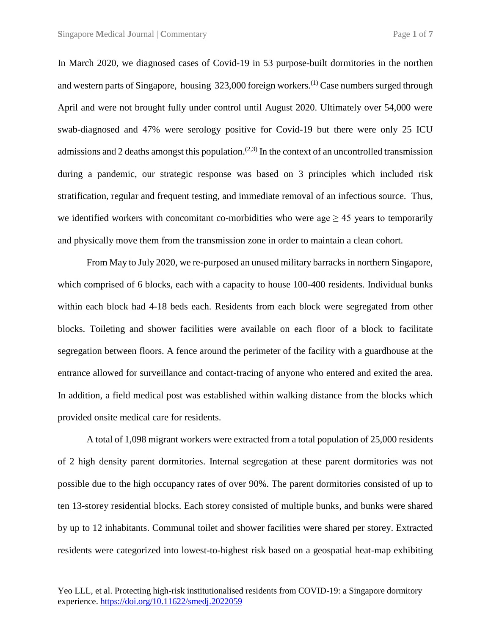In March 2020, we diagnosed cases of Covid-19 in 53 purpose-built dormitories in the northen and western parts of Singapore, housing 323,000 foreign workers.<sup>(1)</sup> Case numbers surged through April and were not brought fully under control until August 2020. Ultimately over 54,000 were swab-diagnosed and 47% were serology positive for Covid-19 but there were only 25 ICU admissions and 2 deaths amongst this population.<sup> $(2,3)$ </sup> In the context of an uncontrolled transmission during a pandemic, our strategic response was based on 3 principles which included risk stratification, regular and frequent testing, and immediate removal of an infectious source. Thus, we identified workers with concomitant co-morbidities who were age  $\geq$  45 years to temporarily and physically move them from the transmission zone in order to maintain a clean cohort.

From May to July 2020, we re-purposed an unused military barracks in northern Singapore, which comprised of 6 blocks, each with a capacity to house 100-400 residents. Individual bunks within each block had 4-18 beds each. Residents from each block were segregated from other blocks. Toileting and shower facilities were available on each floor of a block to facilitate segregation between floors. A fence around the perimeter of the facility with a guardhouse at the entrance allowed for surveillance and contact-tracing of anyone who entered and exited the area. In addition, a field medical post was established within walking distance from the blocks which provided onsite medical care for residents.

A total of 1,098 migrant workers were extracted from a total population of 25,000 residents of 2 high density parent dormitories. Internal segregation at these parent dormitories was not possible due to the high occupancy rates of over 90%. The parent dormitories consisted of up to ten 13-storey residential blocks. Each storey consisted of multiple bunks, and bunks were shared by up to 12 inhabitants. Communal toilet and shower facilities were shared per storey. Extracted residents were categorized into lowest-to-highest risk based on a geospatial heat-map exhibiting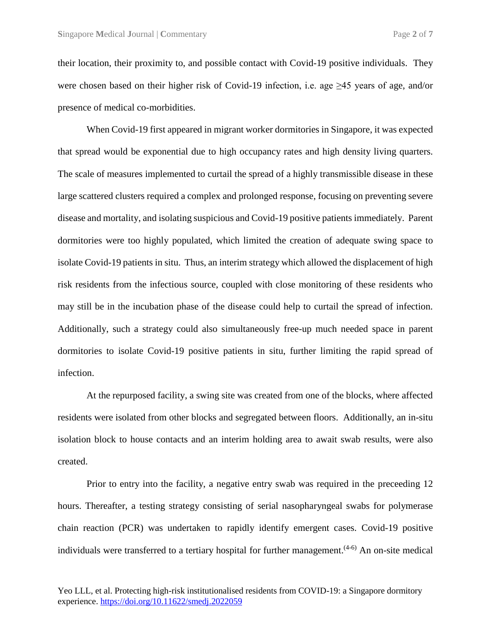their location, their proximity to, and possible contact with Covid-19 positive individuals. They were chosen based on their higher risk of Covid-19 infection, i.e. age  $\geq$ 45 years of age, and/or presence of medical co-morbidities.

When Covid-19 first appeared in migrant worker dormitories in Singapore, it was expected that spread would be exponential due to high occupancy rates and high density living quarters. The scale of measures implemented to curtail the spread of a highly transmissible disease in these large scattered clusters required a complex and prolonged response, focusing on preventing severe disease and mortality, and isolating suspicious and Covid-19 positive patients immediately. Parent dormitories were too highly populated, which limited the creation of adequate swing space to isolate Covid-19 patients in situ. Thus, an interim strategy which allowed the displacement of high risk residents from the infectious source, coupled with close monitoring of these residents who may still be in the incubation phase of the disease could help to curtail the spread of infection. Additionally, such a strategy could also simultaneously free-up much needed space in parent dormitories to isolate Covid-19 positive patients in situ, further limiting the rapid spread of infection.

At the repurposed facility, a swing site was created from one of the blocks, where affected residents were isolated from other blocks and segregated between floors. Additionally, an in-situ isolation block to house contacts and an interim holding area to await swab results, were also created.

Prior to entry into the facility, a negative entry swab was required in the preceeding 12 hours. Thereafter, a testing strategy consisting of serial nasopharyngeal swabs for polymerase chain reaction (PCR) was undertaken to rapidly identify emergent cases. Covid-19 positive individuals were transferred to a tertiary hospital for further management.<sup>(4-6)</sup> An on-site medical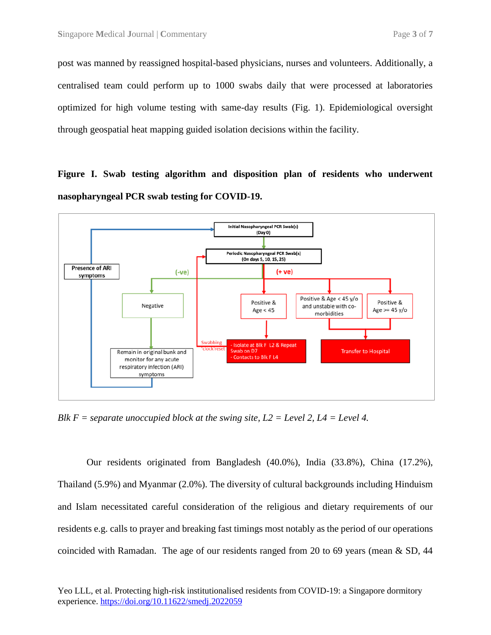post was manned by reassigned hospital-based physicians, nurses and volunteers. Additionally, a centralised team could perform up to 1000 swabs daily that were processed at laboratories optimized for high volume testing with same-day results (Fig. 1). Epidemiological oversight through geospatial heat mapping guided isolation decisions within the facility.

**Figure I. Swab testing algorithm and disposition plan of residents who underwent nasopharyngeal PCR swab testing for COVID-19.**



*Blk F = separate unoccupied block at the swing site, L2 = Level 2, L4 = Level 4.*

Our residents originated from Bangladesh (40.0%), India (33.8%), China (17.2%), Thailand (5.9%) and Myanmar (2.0%). The diversity of cultural backgrounds including Hinduism and Islam necessitated careful consideration of the religious and dietary requirements of our residents e.g. calls to prayer and breaking fast timings most notably as the period of our operations coincided with Ramadan. The age of our residents ranged from 20 to 69 years (mean & SD, 44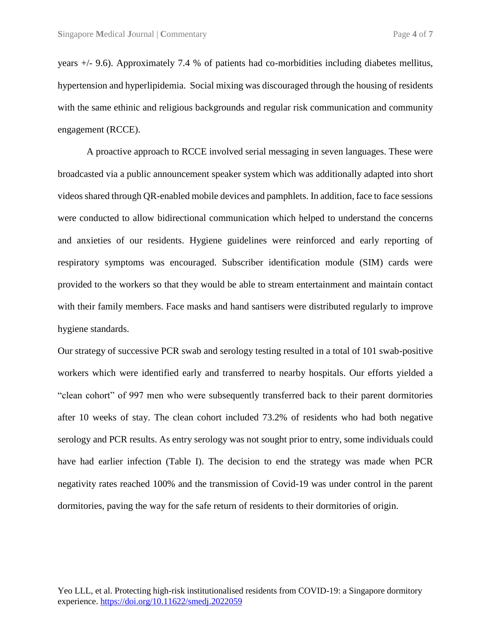years +/- 9.6). Approximately 7.4 % of patients had co-morbidities including diabetes mellitus, hypertension and hyperlipidemia. Social mixing was discouraged through the housing of residents with the same ethinic and religious backgrounds and regular risk communication and community engagement (RCCE).

A proactive approach to RCCE involved serial messaging in seven languages. These were broadcasted via a public announcement speaker system which was additionally adapted into short videos shared through QR-enabled mobile devices and pamphlets. In addition, face to face sessions were conducted to allow bidirectional communication which helped to understand the concerns and anxieties of our residents. Hygiene guidelines were reinforced and early reporting of respiratory symptoms was encouraged. Subscriber identification module (SIM) cards were provided to the workers so that they would be able to stream entertainment and maintain contact with their family members. Face masks and hand santisers were distributed regularly to improve hygiene standards.

Our strategy of successive PCR swab and serology testing resulted in a total of 101 swab-positive workers which were identified early and transferred to nearby hospitals. Our efforts yielded a "clean cohort" of 997 men who were subsequently transferred back to their parent dormitories after 10 weeks of stay. The clean cohort included 73.2% of residents who had both negative serology and PCR results. As entry serology was not sought prior to entry, some individuals could have had earlier infection (Table I). The decision to end the strategy was made when PCR negativity rates reached 100% and the transmission of Covid-19 was under control in the parent dormitories, paving the way for the safe return of residents to their dormitories of origin.

Yeo LLL, et al. Protecting high-risk institutionalised residents from COVID-19: a Singapore dormitory experience. https://doi.org/10.11622/smedj.2022059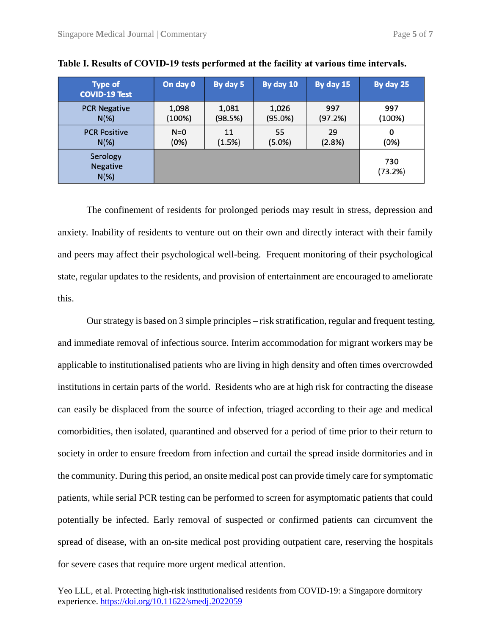| <b>Type of</b><br><b>COVID-19 Test</b> | On day 0 | By day 5 | By day 10 | By day 15 | By day 25      |
|----------------------------------------|----------|----------|-----------|-----------|----------------|
| <b>PCR Negative</b>                    | 1,098    | 1,081    | 1,026     | 997       | 997            |
| $N(\%)$                                | (100%)   | (98.5%)  | (95.0%)   | (97.2%)   | (100%)         |
| <b>PCR Positive</b>                    | $N=0$    | 11       | 55        | 29        | 0              |
| $N(\%)$                                | (0%)     | (1.5%)   | (5.0%)    | (2.8%)    | (0%)           |
| Serology<br><b>Negative</b><br>$N(\%)$ |          |          |           |           | 730<br>(73.2%) |

**Table I. Results of COVID-19 tests performed at the facility at various time intervals.**

The confinement of residents for prolonged periods may result in stress, depression and anxiety. Inability of residents to venture out on their own and directly interact with their family and peers may affect their psychological well-being. Frequent monitoring of their psychological state, regular updates to the residents, and provision of entertainment are encouraged to ameliorate this.

Our strategy is based on 3 simple principles – risk stratification, regular and frequent testing, and immediate removal of infectious source. Interim accommodation for migrant workers may be applicable to institutionalised patients who are living in high density and often times overcrowded institutions in certain parts of the world. Residents who are at high risk for contracting the disease can easily be displaced from the source of infection, triaged according to their age and medical comorbidities, then isolated, quarantined and observed for a period of time prior to their return to society in order to ensure freedom from infection and curtail the spread inside dormitories and in the community. During this period, an onsite medical post can provide timely care for symptomatic patients, while serial PCR testing can be performed to screen for asymptomatic patients that could potentially be infected. Early removal of suspected or confirmed patients can circumvent the spread of disease, with an on-site medical post providing outpatient care, reserving the hospitals for severe cases that require more urgent medical attention.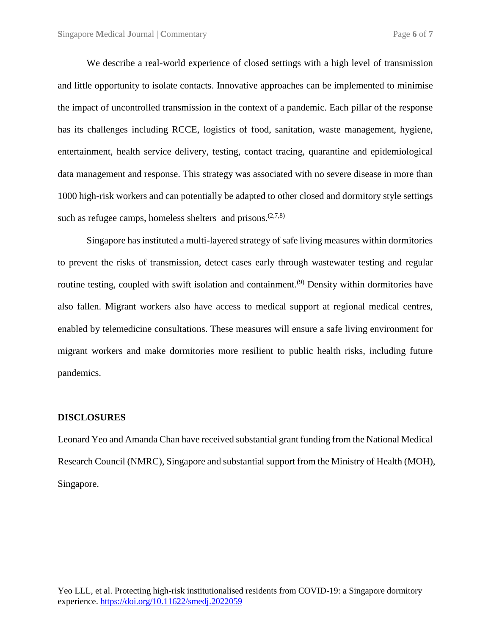We describe a real-world experience of closed settings with a high level of transmission and little opportunity to isolate contacts. Innovative approaches can be implemented to minimise the impact of uncontrolled transmission in the context of a pandemic. Each pillar of the response has its challenges including RCCE, logistics of food, sanitation, waste management, hygiene, entertainment, health service delivery, testing, contact tracing, quarantine and epidemiological data management and response. This strategy was associated with no severe disease in more than 1000 high-risk workers and can potentially be adapted to other closed and dormitory style settings such as refugee camps, homeless shelters and prisons.  $(2,7,8)$ 

Singapore has instituted a multi-layered strategy of safe living measures within dormitories to prevent the risks of transmission, detect cases early through wastewater testing and regular routine testing, coupled with swift isolation and containment.<sup>(9)</sup> Density within dormitories have also fallen. Migrant workers also have access to medical support at regional medical centres, enabled by telemedicine consultations. These measures will ensure a safe living environment for migrant workers and make dormitories more resilient to public health risks, including future pandemics.

## **DISCLOSURES**

Leonard Yeo and Amanda Chan have received substantial grant funding from the National Medical Research Council (NMRC), Singapore and substantial support from the Ministry of Health (MOH), Singapore.